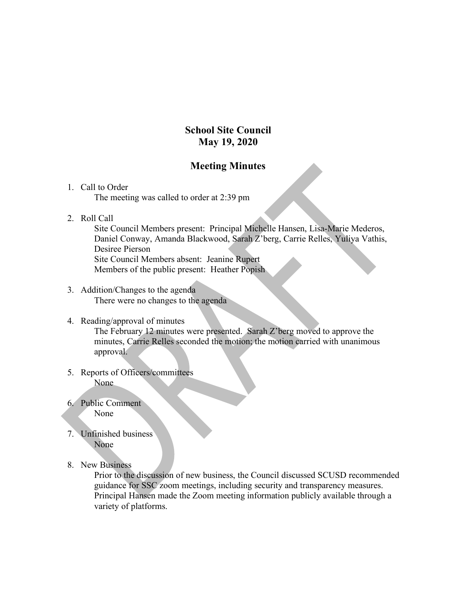# **School Site Council May 19, 2020**

## **Meeting Minutes**

## 1. Call to Order

The meeting was called to order at 2:39 pm

### 2. Roll Call

Site Council Members present: Principal Michelle Hansen, Lisa-Marie Mederos, Daniel Conway, Amanda Blackwood, Sarah Z'berg, Carrie Relles, Yuliya Vathis, Desiree Pierson Site Council Members absent: Jeanine Rupert

Members of the public present: Heather Popish

3. Addition/Changes to the agenda There were no changes to the agenda

#### 4. Reading/approval of minutes

The February 12 minutes were presented. Sarah Z'berg moved to approve the minutes, Carrie Relles seconded the motion; the motion carried with unanimous approval.

- 5. Reports of Officers/committees None
- 6. Public Comment None
- 7. Unfinished business None
- 8. New Business

Prior to the discussion of new business, the Council discussed SCUSD recommended guidance for SSC zoom meetings, including security and transparency measures. Principal Hansen made the Zoom meeting information publicly available through a variety of platforms.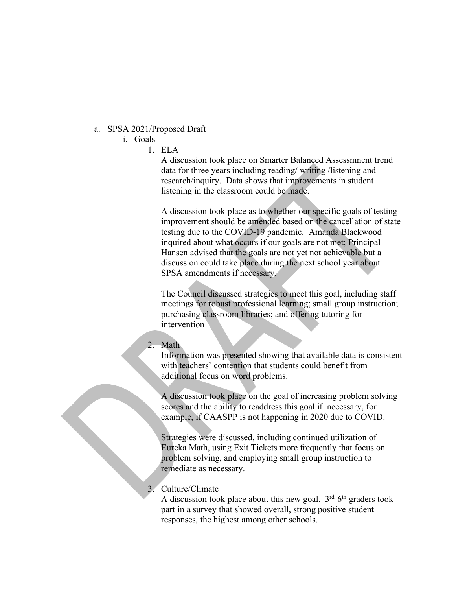- a. SPSA 2021/Proposed Draft
	- i. Goals
		- $1$  ELA

A discussion took place on Smarter Balanced Assessmnent trend data for three years including reading/ writing /listening and research/inquiry. Data shows that improvements in student listening in the classroom could be made.

A discussion took place as to whether our specific goals of testing improvement should be amended based on the cancellation of state testing due to the COVID-19 pandemic. Amanda Blackwood inquired about what occurs if our goals are not met; Principal Hansen advised that the goals are not yet not achievable but a discussion could take place during the next school year about SPSA amendments if necessary.

The Council discussed strategies to meet this goal, including staff meetings for robust professional learning; small group instruction; purchasing classroom libraries; and offering tutoring for intervention

## 2. Math

Information was presented showing that available data is consistent with teachers' contention that students could benefit from additional focus on word problems.

A discussion took place on the goal of increasing problem solving scores and the ability to readdress this goal if necessary, for example, if CAASPP is not happening in 2020 due to COVID.

Strategies were discussed, including continued utilization of Eureka Math, using Exit Tickets more frequently that focus on problem solving, and employing small group instruction to remediate as necessary.

### 3. Culture/Climate

A discussion took place about this new goal.  $3<sup>rd</sup> - 6<sup>th</sup>$  graders took part in a survey that showed overall, strong positive student responses, the highest among other schools.